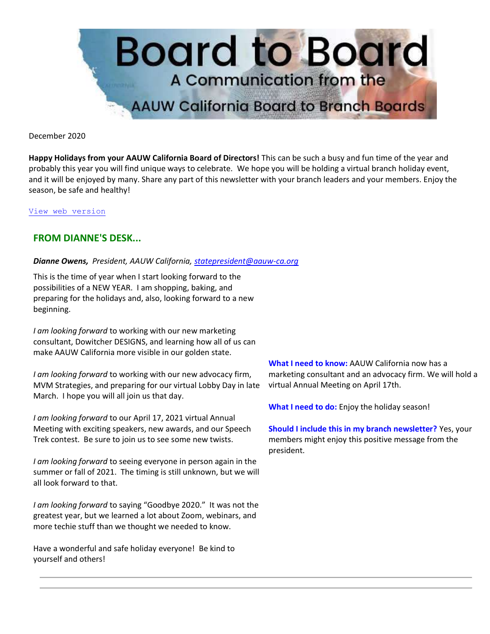

December 2020

**Happy Holidays from your AAUW California Board of Directors!** This can be such a busy and fun time of the year and probably this year you will find unique ways to celebrate. We hope you will be holding a virtual branch holiday event, and it will be enjoyed by many. Share any part of this newsletter with your branch leaders and your members. Enjoy the season, be safe and healthy!

[View web version](https://bor.aauw-ca.org/sendy/w/tsVgdsoufBLNPc2Bg9poHA)

# **FROM DIANNE'S DESK...**

#### *Dianne Owens, President, AAUW California[, statepresident@aauw-ca.org](mailto:statepresident@aauw-ca.org)*

This is the time of year when I start looking forward to the possibilities of a NEW YEAR. I am shopping, baking, and preparing for the holidays and, also, looking forward to a new beginning.

*I am looking forward* to working with our new marketing consultant, Dowitcher DESIGNS, and learning how all of us can make AAUW California more visible in our golden state.

*I am looking forward* to working with our new advocacy firm, MVM Strategies, and preparing for our virtual Lobby Day in late March. I hope you will all join us that day.

*I am looking forward* to our April 17, 2021 virtual Annual Meeting with exciting speakers, new awards, and our Speech Trek contest. Be sure to join us to see some new twists.

*I am looking forward* to seeing everyone in person again in the summer or fall of 2021. The timing is still unknown, but we will all look forward to that.

*I am looking forward* to saying "Goodbye 2020." It was not the greatest year, but we learned a lot about Zoom, webinars, and more techie stuff than we thought we needed to know.

Have a wonderful and safe holiday everyone! Be kind to yourself and others!

**What I need to know:** AAUW California now has a marketing consultant and an advocacy firm. We will hold a virtual Annual Meeting on April 17th.

**What I need to do:** Enjoy the holiday season!

**Should I include this in my branch newsletter?** Yes, your members might enjoy this positive message from the president.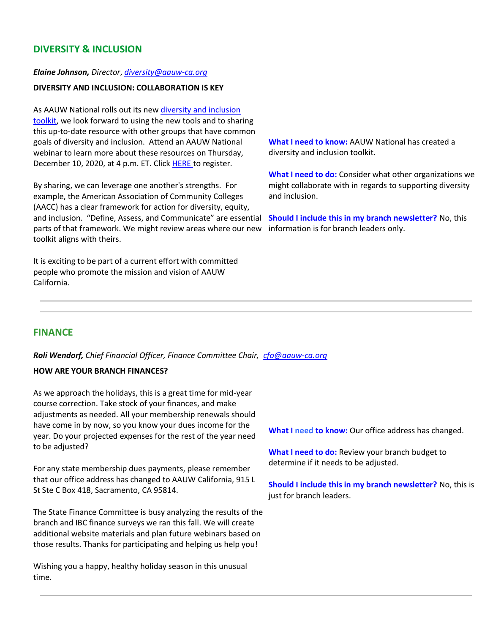# **DIVERSITY & INCLUSION**

#### *Elaine Johnson, Director*, *[diversity@aauw-ca.org](mailto:diversity@aauw-ca.org)*

## **DIVERSITY AND INCLUSION: COLLABORATION IS KEY**

As AAUW National rolls out its new diversity and inclusion [toolkit,](https://www.aauw.org/resources/member/governance-tools/dei-toolkit/) we look forward to using the new tools and to sharing this up-to-date resource with other groups that have common goals of diversity and inclusion. Attend an AAUW National webinar to learn more about these resources on Thursday, December 10, 2020, at 4 p.m. ET. Click [HERE t](https://us02web.zoom.us/webinar/register/WN_1gsjcm70SOqCzlZLJgHTRg?emci=715b360b-442f-eb11-9fb4-00155d43b2cd&emdi=76304163-8935-eb11-9fb4-00155d43b2cd&ceid=1018008)o register.

By sharing, we can leverage one another's strengths. For example, the American Association of Community Colleges (AACC) has a clear framework for action for diversity, equity, and inclusion. "Define, Assess, and Communicate" are essential parts of that framework. We might review areas where our new toolkit aligns with theirs.

It is exciting to be part of a current effort with committed people who promote the mission and vision of AAUW California.

**What I need to know:** AAUW National has created a diversity and inclusion toolkit.

**What I need to do:** Consider what other organizations we might collaborate with in regards to supporting diversity and inclusion.

**Should I include this in my branch newsletter?** No, this information is for branch leaders only.

### **FINANCE**

*Roli Wendorf, Chief Financial Officer, Finance Committee Chair, [cfo@aauw-ca.org](mailto:cfo@aauw-ca.org)*

#### **HOW ARE YOUR BRANCH FINANCES?**

As we approach the holidays, this is a great time for mid-year course correction. Take stock of your finances, and make adjustments as needed. All your membership renewals should have come in by now, so you know your dues income for the year. Do your projected expenses for the rest of the year need to be adjusted?

For any state membership dues payments, please remember that our office address has changed to AAUW California, 915 L St Ste C Box 418, Sacramento, CA 95814.

The State Finance Committee is busy analyzing the results of the branch and IBC finance surveys we ran this fall. We will create additional website materials and plan future webinars based on those results. Thanks for participating and helping us help you!

Wishing you a happy, healthy holiday season in this unusual time.

**What I need to know:** Our office address has changed.

**What I need to do:** Review your branch budget to determine if it needs to be adjusted.

**Should I include this in my branch newsletter?** No, this is just for branch leaders.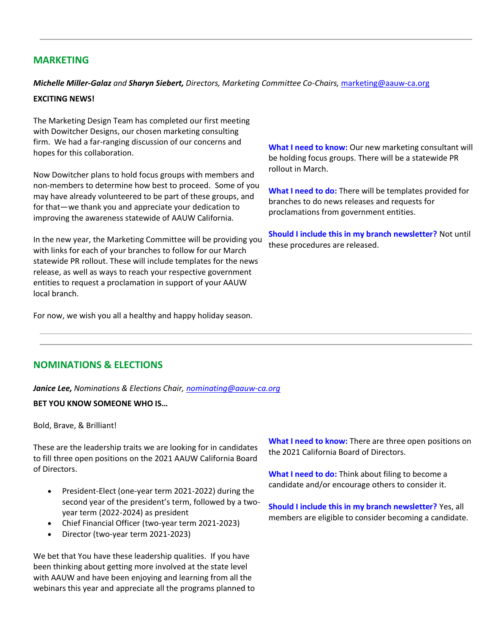## **MARKETING**

*Michelle Miller-Galaz and Sharyn Siebert, Directors, Marketing Committee Co-Chairs,* [marketing@aauw-ca.org](mailto:marketing@aauw-ca.org)

#### **EXCITING NEWS!**

The Marketing Design Team has completed our first meeting with Dowitcher Designs, our chosen marketing consulting firm. We had a far-ranging discussion of our concerns and hopes for this collaboration.

Now Dowitcher plans to hold focus groups with members and non-members to determine how best to proceed. Some of you may have already volunteered to be part of these groups, and for that—we thank you and appreciate your dedication to improving the awareness statewide of AAUW California.

In the new year, the Marketing Committee will be providing you with links for each of your branches to follow for our March statewide PR rollout. These will include templates for the news release, as well as ways to reach your respective government entities to request a proclamation in support of your AAUW local branch.

For now, we wish you all a healthy and happy holiday season.

**What I need to know:** Our new marketing consultant will be holding focus groups. There will be a statewide PR rollout in March.

**What I need to do:** There will be templates provided for branches to do news releases and requests for proclamations from government entities.

**Should I include this in my branch newsletter?** Not until these procedures are released.

## **NOMINATIONS & ELECTIONS**

*Janice Lee, Nominations & Elections Chair, [nominating@aauw-ca.org](mailto:nominating@aauw-ca.org)*

#### **BET YOU KNOW SOMEONE WHO IS…**

Bold, Brave, & Brilliant!

These are the leadership traits we are looking for in candidates to fill three open positions on the 2021 AAUW California Board of Directors.

- President-Elect (one-year term 2021-2022) during the second year of the president's term, followed by a twoyear term (2022-2024) as president
- Chief Financial Officer (two-year term 2021-2023)
- Director (two-year term 2021-2023)

We bet that You have these leadership qualities. If you have been thinking about getting more involved at the state level with AAUW and have been enjoying and learning from all the webinars this year and appreciate all the programs planned to

**What I need to know:** There are three open positions on the 2021 California Board of Directors.

**What I need to do:** Think about filing to become a candidate and/or encourage others to consider it.

**Should I include this in my branch newsletter?** Yes, all members are eligible to consider becoming a candidate.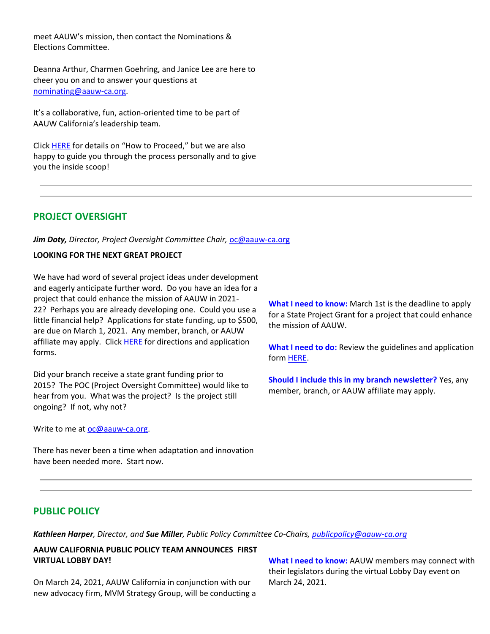meet AAUW's mission, then contact the Nominations & Elections Committee.

Deanna Arthur, Charmen Goehring, and Janice Lee are here to cheer you on and to answer your questions at [nominating@aauw-ca.org.](mailto:nominating@aauw-ca.or)

It's a collaborative, fun, action-oriented time to be part of AAUW California's leadership team.

Clic[k HERE](https://www.aauw-ca.org/elections-nominations/) for details on "How to Proceed," but we are also happy to guide you through the process personally and to give you the inside scoop!

# **PROJECT OVERSIGHT**

*Jim Doty, Director, Project Oversight Committee Chair,* [oc@aauw-ca.org](mailto:oc@aauw-ca.org)

### **LOOKING FOR THE NEXT GREAT PROJECT**

We have had word of several project ideas under development and eagerly anticipate further word. Do you have an idea for a project that could enhance the mission of AAUW in 2021- 22? Perhaps you are already developing one. Could you use a little financial help? Applications for state funding, up to \$500, are due on March 1, 2021. Any member, branch, or AAUW affiliate may apply. Click **HERE** for directions and application forms.

Did your branch receive a state grant funding prior to 2015? The POC (Project Oversight Committee) would like to hear from you. What was the project? Is the project still ongoing? If not, why not?

Write to me at [oc@aauw-ca.org.](mailto:oc@aauw-ca.org)

**What I need to know:** March 1st is the deadline to apply for a State Project Grant for a project that could enhance the mission of AAUW.

**What I need to do:** Review the guidelines and application form [HERE.](https://www.aauw-ca.org/category/programs/state-project-grant/)

**Should I include this in my branch newsletter?** Yes, any member, branch, or AAUW affiliate may apply.

There has never been a time when adaptation and innovation have been needed more. Start now.

## **PUBLIC POLICY**

*Kathleen Harper, Director, and Sue Miller, Public Policy Committee Co-Chairs, [publicpolicy@aauw-ca.org](mailto:PublicPolicy@aauw-ca.org)*

**AAUW CALIFORNIA PUBLIC POLICY TEAM ANNOUNCES FIRST VIRTUAL LOBBY DAY!**

On March 24, 2021, AAUW California in conjunction with our new advocacy firm, MVM Strategy Group, will be conducting a

**What I need to know:** AAUW members may connect with their legislators during the virtual Lobby Day event on March 24, 2021.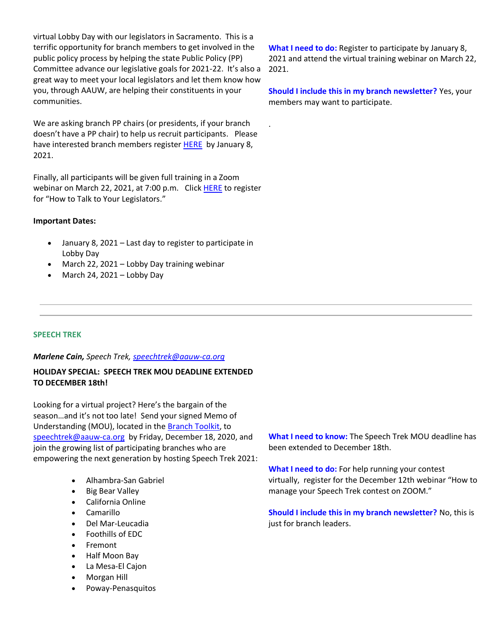virtual Lobby Day with our legislators in Sacramento. This is a terrific opportunity for branch members to get involved in the public policy process by helping the state Public Policy (PP) Committee advance our legislative goals for 2021-22. It's also a great way to meet your local legislators and let them know how you, through AAUW, are helping their constituents in your communities.

We are asking branch PP chairs (or presidents, if your branch doesn't have a PP chair) to help us recruit participants. Please have interested branch members register [HERE](https://www.surveymonkey.com/r/56JT7XF) by January 8, 2021.

Finally, all participants will be given full training in a Zoom webinar on March 22, 2021, at 7:00 p.m. Click [HERE](https://us02web.zoom.us/webinar/register/WN_-MBPqA7MRfmoToHJ87ZqMQ) to register for "How to Talk to Your Legislators."

#### **Important Dates:**

- January 8, 2021 Last day to register to participate in Lobby Day
- March 22, 2021 Lobby Day training webinar
- March 24, 2021 Lobby Day

**What I need to do:** Register to participate by January 8, 2021 and attend the virtual training webinar on March 22, 2021.

**Should I include this in my branch newsletter?** Yes, your members may want to participate.

.

### **SPEECH TREK**

#### *Marlene Cain, Speech Trek, [speechtrek@aauw-ca.org](mailto:speechtrek@aauw-ca.org)*

# **HOLIDAY SPECIAL: SPEECH TREK MOU DEADLINE EXTENDED TO DECEMBER 18th!**

Looking for a virtual project? Here's the bargain of the season…and it's not too late! Send your signed Memo of Understanding (MOU), located in th[e Branch Toolkit,](https://www.aauw-ca.org/documents/2019/08/speech-trek-branch-toolkit-2.pdf/) to [speechtrek@aauw-ca.org](mailto:speechtrek@aauw-ca.org) by Friday, December 18, 2020, and join the growing list of participating branches who are empowering the next generation by hosting Speech Trek 2021:

- Alhambra-San Gabriel
- Big Bear Valley
- California Online
- Camarillo
- Del Mar-Leucadia
- Foothills of EDC
- **Fremont**
- Half Moon Bay
- La Mesa-El Cajon
- Morgan Hill
- Poway-Penasquitos

**What I need to know:** The Speech Trek MOU deadline has been extended to December 18th.

**What I need to do:** For help running your contest virtually, register for the December 12th webinar "How to manage your Speech Trek contest on ZOOM."

**Should I include this in my branch newsletter?** No, this is just for branch leaders.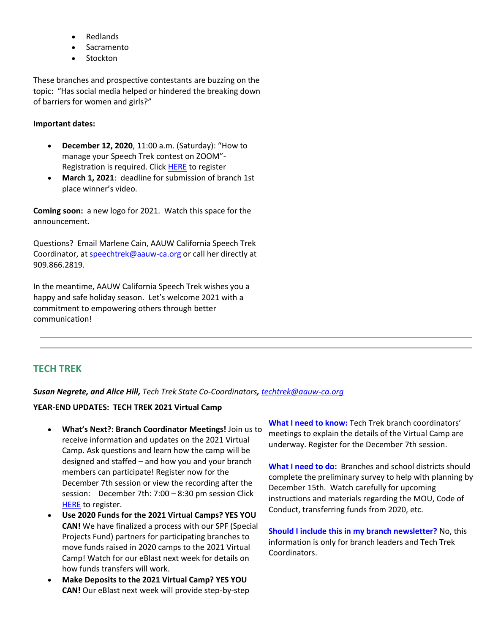- **Redlands**
- **Sacramento**
- Stockton

These branches and prospective contestants are buzzing on the topic: "Has social media helped or hindered the breaking down of barriers for women and girls?"

## **Important dates:**

- **December 12, 2020**, 11:00 a.m. (Saturday): "How to manage your Speech Trek contest on ZOOM"- Registration is required. Click **HERE** to register
- **March 1, 2021**: deadline for submission of branch 1st place winner's video.

**Coming soon:** a new logo for 2021. Watch this space for the announcement.

Questions? Email Marlene Cain, AAUW California Speech Trek Coordinator, at [speechtrek@aauw-ca.org](mailto:speechtrek@aauw-ca.org) or call her directly at 909.866.2819.

In the meantime, AAUW California Speech Trek wishes you a happy and safe holiday season. Let's welcome 2021 with a commitment to empowering others through better communication!

# **TECH TREK**

### *Susan Negrete, and Alice Hill, Tech Trek State Co-Coordinators, [techtrek@aauw-ca.org](mailto:techtrek@aauw-ca.org)*

### **YEAR-END UPDATES: TECH TREK 2021 Virtual Camp**

- **What's Next?: Branch Coordinator Meetings!** Join us to receive information and updates on the 2021 Virtual Camp. Ask questions and learn how the camp will be designed and staffed – and how you and your branch members can participate! Register now for the December 7th session or view the recording after the session: December 7th: 7:00 – 8:30 pm session Click [HERE](https://us02web.zoom.us/meeting/register/tZAscO2srTsoHdY0FEPZ2PFuY7L1Tansl_TM) to register.
- **Use 2020 Funds for the 2021 Virtual Camps? YES YOU CAN!** We have finalized a process with our SPF (Special Projects Fund) partners for participating branches to move funds raised in 2020 camps to the 2021 Virtual Camp! Watch for our eBlast next week for details on how funds transfers will work.
- **Make Deposits to the 2021 Virtual Camp? YES YOU CAN!** Our eBlast next week will provide step-by-step

**What I need to know:** Tech Trek branch coordinators' meetings to explain the details of the Virtual Camp are underway. Register for the December 7th session.

**What I need to do:** Branches and school districts should complete the preliminary survey to help with planning by December 15th. Watch carefully for upcoming instructions and materials regarding the MOU, Code of Conduct, transferring funds from 2020, etc.

**Should I include this in my branch newsletter?** No, this information is only for branch leaders and Tech Trek Coordinators.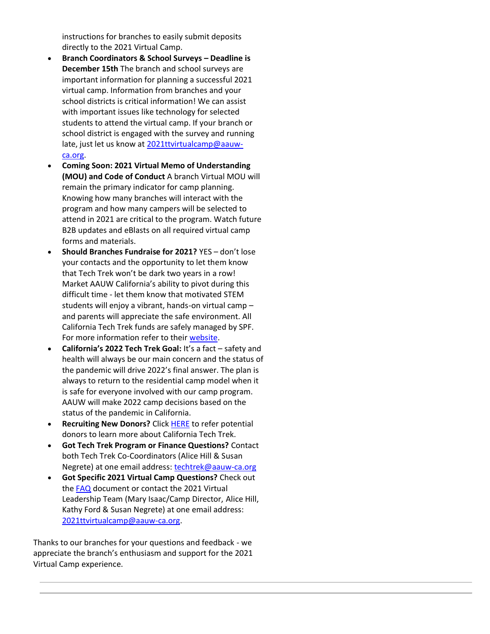instructions for branches to easily submit deposits directly to the 2021 Virtual Camp.

- **Branch Coordinators & School Surveys – Deadline is December 15th** The branch and school surveys are important information for planning a successful 2021 virtual camp. Information from branches and your school districts is critical information! We can assist with important issues like technology for selected students to attend the virtual camp. If your branch or school district is engaged with the survey and running late, just let us know a[t 2021ttvirtualcamp@aauw](mailto:2021ttvirtualcamp@aauw-ca.org)[ca.org.](mailto:2021ttvirtualcamp@aauw-ca.org)
- **Coming Soon: 2021 Virtual Memo of Understanding (MOU) and Code of Conduct** A branch Virtual MOU will remain the primary indicator for camp planning. Knowing how many branches will interact with the program and how many campers will be selected to attend in 2021 are critical to the program. Watch future B2B updates and eBlasts on all required virtual camp forms and materials.
- **Should Branches Fundraise for 2021?** YES don't lose your contacts and the opportunity to let them know that Tech Trek won't be dark two years in a row! Market AAUW California's ability to pivot during this difficult time - let them know that motivated STEM students will enjoy a vibrant, hands-on virtual camp – and parents will appreciate the safe environment. All California Tech Trek funds are safely managed by SPF. For more information refer to their [website.](https://specialprojectsfund-ca.aauw.net/)
- **California's 2022 Tech Trek Goal:** It's a fact safety and health will always be our main concern and the status of the pandemic will drive 2022's final answer. The plan is always to return to the residential camp model when it is safe for everyone involved with our camp program. AAUW will make 2022 camp decisions based on the status of the pandemic in California.
- **Recruiting New Donors?** Clic[k HERE](https://www.aauw-ca.org/category/aauw-ca-projects/tech-trek-external/) to refer potential donors to learn more about California Tech Trek.
- **Got Tech Trek Program or Finance Questions?** Contact both Tech Trek Co-Coordinators (Alice Hill & Susan Negrete) at one email address: [techtrek@aauw-ca.org](mailto:techtrek@aauw-ca.org)
- **Got Specific 2021 Virtual Camp Questions?** Check out the [FAQ](https://docs.google.com/document/d/1Ud_XCBIys7BGLKvGcEBekMZTp3r8wewx9HHCI4Sc2Es/edit?usp=sharing) document or contact the 2021 Virtual Leadership Team (Mary Isaac/Camp Director, Alice Hill, Kathy Ford & Susan Negrete) at one email address: [2021ttvirtualcamp@aauw-ca.org.](mailto:2021ttvirtualcamp@aauw-ca.org)

Thanks to our branches for your questions and feedback - we appreciate the branch's enthusiasm and support for the 2021 Virtual Camp experience.